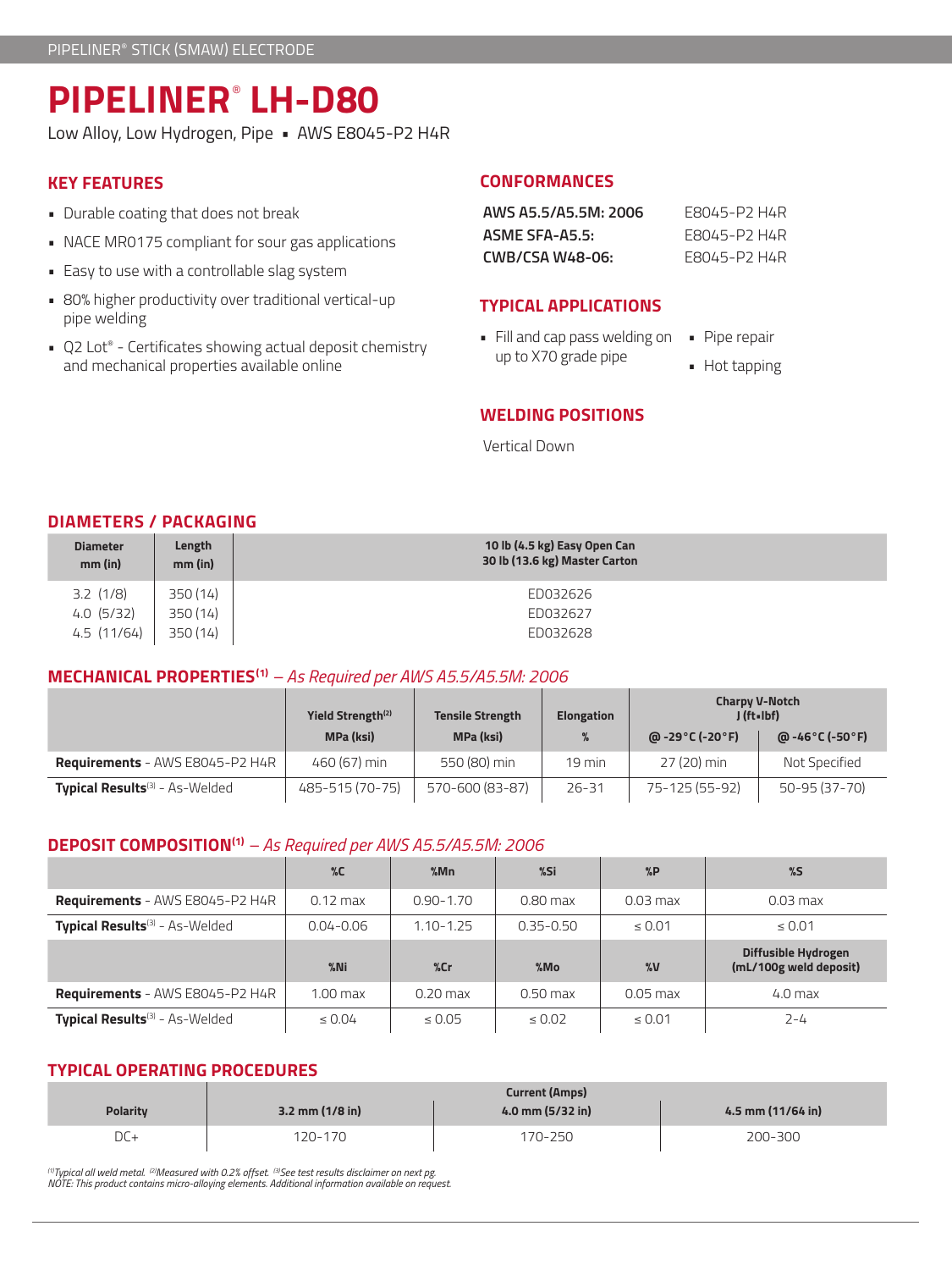# **PIPELINER**®  **LH-D80**

Low Alloy, Low Hydrogen, Pipe • AWS E8045-P2 H4R

# **KEY FEATURES**

- Durable coating that does not break
- NACE MR0175 compliant for sour gas applications
- Easy to use with a controllable slag system
- 80% higher productivity over traditional vertical-up pipe welding
- Q2 Lot® Certificates showing actual deposit chemistry and mechanical properties available online

# **CONFORMANCES**

| AWS A5.5/A5.5M: 2006 | F8045-P2 H4R |
|----------------------|--------------|
| ASME SFA-A5.5:       | F8045-P2 H4R |
| CWB/CSA W48-06:      | F8045-P2 H4R |

### **TYPICAL APPLICATIONS**

- Fill and cap pass welding on up to X70 grade pipe
- Pipe repair
	- Hot tapping

## **WELDING POSITIONS**

Vertical Down

# **DIAMETERS / PACKAGING**

| <b>Diameter</b><br>$mm$ (in) | Length<br>mm (in) | 10 lb (4.5 kg) Easy Open Can<br>30 lb (13.6 kg) Master Carton |
|------------------------------|-------------------|---------------------------------------------------------------|
| $3.2$ (1/8)                  | 350 (14)          | ED032626                                                      |
| 4.0(5/32)                    | 350 (14)          | ED032627                                                      |
| 4.5(11/64)                   | 350 (14)          | ED032628                                                      |

# **MECHANICAL PROPERTIES(1)** *– As Required per AWS A5.5/A5.5M: 2006*

|                                                   | Yield Strength <sup>(2)</sup><br><b>Tensile Strength</b> |                 | <b>Elongation</b> | <b>Charpy V-Notch</b><br>J (ft-Ibf) |                                       |
|---------------------------------------------------|----------------------------------------------------------|-----------------|-------------------|-------------------------------------|---------------------------------------|
|                                                   | <b>MPa (ksi)</b>                                         | MPa (ksi)       |                   | @ -29°C (-20°F)                     | @ -46 $^{\circ}$ C (-50 $^{\circ}$ F) |
| <b>Requirements</b> - AWS E8045-P2 H4R            | 460 (67) min                                             | 550 (80) min    | $19 \text{ min}$  | 27 (20) min                         | Not Specified                         |
| <b>Typical Results</b> <sup>(3)</sup> - As-Welded | 485-515 (70-75)                                          | 570-600 (83-87) | $26 - 31$         | 75-125 (55-92)                      | 50-95 (37-70)                         |

### **DEPOSIT COMPOSITION(1)** *– As Required per AWS A5.5/A5.5M: 2006*

|                                            | $\%C$              | %Mn           | %Si           | $\%P$             | $\%$                                          |
|--------------------------------------------|--------------------|---------------|---------------|-------------------|-----------------------------------------------|
| <b>Requirements</b> - AWS E8045-P2 H4R     | $0.12 \text{ max}$ | $0.90 - 1.70$ | $0.80$ max    | $0.03$ max        | $0.03$ max                                    |
| Typical Results <sup>(3)</sup> - As-Welded | $0.04 - 0.06$      | $1.10 - 1.25$ | $0.35 - 0.50$ | $\leq 0.01$       | $\leq 0.01$                                   |
|                                            |                    |               |               |                   |                                               |
|                                            | $%$ Ni             | %cr           | $%$ Mo        | $\%$ <sub>V</sub> | Diffusible Hydrogen<br>(mL/100g weld deposit) |
| <b>Requirements</b> - AWS E8045-P2 H4R     | $1.00$ max         | $0.20$ max    | $0.50$ max    | $0.05$ max        | $4.0$ max                                     |

### **TYPICAL OPERATING PROCEDURES**

|                 | <b>Current (Amps)</b> |                  |                   |  |
|-----------------|-----------------------|------------------|-------------------|--|
| <b>Polarity</b> | $3.2$ mm $(1/8$ in)   | 4.0 mm (5/32 in) | 4.5 mm (11/64 in) |  |
| $DC+$           | 120-170               | 170-250          | 200-300           |  |

<sup>(1)</sup>Typical all weld metal. <sup>(2)</sup>Measured with 0.2% offset. <sup>(3)</sup>See test results disclaimer on next pg.<br>NOTE: This product contains micro-alloying elements. Additional information available on request.